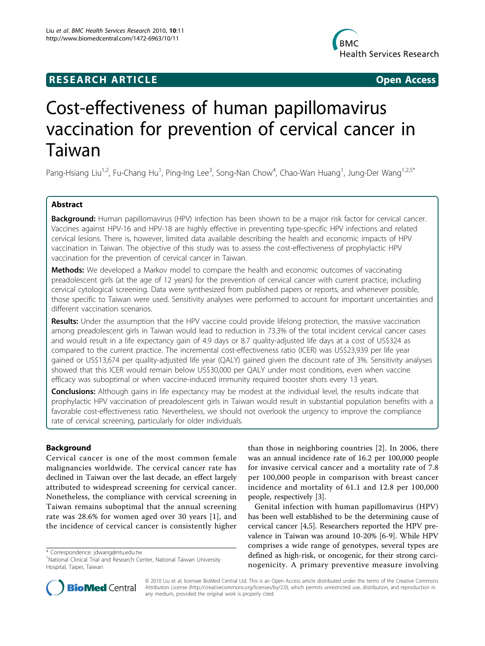## **RESEARCH ARTICLE Example 2018 12:00 Open Access**



# Cost-effectiveness of human papillomavirus vaccination for prevention of cervical cancer in Taiwan

Pang-Hsiang Liu<sup>1,2</sup>, Fu-Chang Hu<sup>1</sup>, Ping-Ing Lee<sup>3</sup>, Song-Nan Chow<sup>4</sup>, Chao-Wan Huang<sup>1</sup>, Jung-Der Wang<sup>1,2,5\*</sup>

## Abstract

Background: Human papillomavirus (HPV) infection has been shown to be a major risk factor for cervical cancer. Vaccines against HPV-16 and HPV-18 are highly effective in preventing type-specific HPV infections and related cervical lesions. There is, however, limited data available describing the health and economic impacts of HPV vaccination in Taiwan. The objective of this study was to assess the cost-effectiveness of prophylactic HPV vaccination for the prevention of cervical cancer in Taiwan.

Methods: We developed a Markov model to compare the health and economic outcomes of vaccinating preadolescent girls (at the age of 12 years) for the prevention of cervical cancer with current practice, including cervical cytological screening. Data were synthesized from published papers or reports, and whenever possible, those specific to Taiwan were used. Sensitivity analyses were performed to account for important uncertainties and different vaccination scenarios.

Results: Under the assumption that the HPV vaccine could provide lifelong protection, the massive vaccination among preadolescent girls in Taiwan would lead to reduction in 73.3% of the total incident cervical cancer cases and would result in a life expectancy gain of 4.9 days or 8.7 quality-adjusted life days at a cost of US\$324 as compared to the current practice. The incremental cost-effectiveness ratio (ICER) was US\$23,939 per life year gained or US\$13,674 per quality-adjusted life year (QALY) gained given the discount rate of 3%. Sensitivity analyses showed that this ICER would remain below US\$30,000 per QALY under most conditions, even when vaccine efficacy was suboptimal or when vaccine-induced immunity required booster shots every 13 years.

**Conclusions:** Although gains in life expectancy may be modest at the individual level, the results indicate that prophylactic HPV vaccination of preadolescent girls in Taiwan would result in substantial population benefits with a favorable cost-effectiveness ratio. Nevertheless, we should not overlook the urgency to improve the compliance rate of cervical screening, particularly for older individuals.

## Background

Cervical cancer is one of the most common female malignancies worldwide. The cervical cancer rate has declined in Taiwan over the last decade, an effect largely attributed to widespread screening for cervical cancer. Nonetheless, the compliance with cervical screening in Taiwan remains suboptimal that the annual screening rate was 28.6% for women aged over 30 years [[1\]](#page-8-0), and the incidence of cervical cancer is consistently higher

\* Correspondence: [jdwang@ntu.edu.tw](mailto:jdwang@ntu.edu.tw)

than those in neighboring countries [[2\]](#page-8-0). In 2006, there was an annual incidence rate of 16.2 per 100,000 people for invasive cervical cancer and a mortality rate of 7.8 per 100,000 people in comparison with breast cancer incidence and mortality of 61.1 and 12.8 per 100,000 people, respectively [\[3](#page-8-0)].

Genital infection with human papillomavirus (HPV) has been well established to be the determining cause of cervical cancer [\[4,5](#page-8-0)]. Researchers reported the HPV prevalence in Taiwan was around 10-20% [\[6-9](#page-8-0)]. While HPV comprises a wide range of genotypes, several types are defined as high-risk, or oncogenic, for their strong carcinogenicity. A primary preventive measure involving



© 2010 Liu et al; licensee BioMed Central Ltd. This is an Open Access article distributed under the terms of the Creative Commons Attribution License [\(http://creativecommons.org/licenses/by/2.0](http://creativecommons.org/licenses/by/2.0)), which permits unrestricted use, distribution, and reproduction in any medium, provided the original work is properly cited.

<sup>&</sup>lt;sup>1</sup>National Clinical Trial and Research Center, National Taiwan University Hospital, Taipei, Taiwan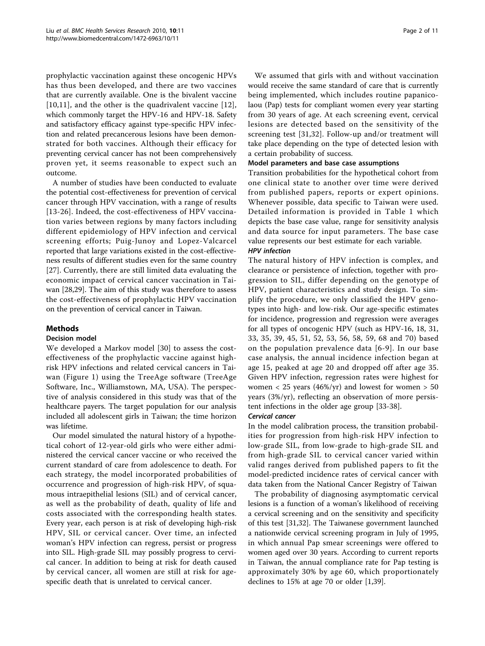prophylactic vaccination against these oncogenic HPVs has thus been developed, and there are two vaccines that are currently available. One is the bivalent vaccine [[10](#page-9-0),[11\]](#page-9-0), and the other is the quadrivalent vaccine [[12](#page-9-0)], which commonly target the HPV-16 and HPV-18. Safety and satisfactory efficacy against type-specific HPV infection and related precancerous lesions have been demonstrated for both vaccines. Although their efficacy for preventing cervical cancer has not been comprehensively proven yet, it seems reasonable to expect such an outcome.

A number of studies have been conducted to evaluate the potential cost-effectiveness for prevention of cervical cancer through HPV vaccination, with a range of results [[13](#page-9-0)-[26](#page-9-0)]. Indeed, the cost-effectiveness of HPV vaccination varies between regions by many factors including different epidemiology of HPV infection and cervical screening efforts; Puig-Junoy and Lopez-Valcarcel reported that large variations existed in the cost-effectiveness results of different studies even for the same country [[27\]](#page-9-0). Currently, there are still limited data evaluating the economic impact of cervical cancer vaccination in Taiwan [\[28,29\]](#page-9-0). The aim of this study was therefore to assess the cost-effectiveness of prophylactic HPV vaccination on the prevention of cervical cancer in Taiwan.

## Methods

### Decision model

We developed a Markov model [[30\]](#page-9-0) to assess the costeffectiveness of the prophylactic vaccine against highrisk HPV infections and related cervical cancers in Taiwan (Figure [1\)](#page-2-0) using the TreeAge software (TreeAge Software, Inc., Williamstown, MA, USA). The perspective of analysis considered in this study was that of the healthcare payers. The target population for our analysis included all adolescent girls in Taiwan; the time horizon was lifetime.

Our model simulated the natural history of a hypothetical cohort of 12-year-old girls who were either administered the cervical cancer vaccine or who received the current standard of care from adolescence to death. For each strategy, the model incorporated probabilities of occurrence and progression of high-risk HPV, of squamous intraepithelial lesions (SIL) and of cervical cancer, as well as the probability of death, quality of life and costs associated with the corresponding health states. Every year, each person is at risk of developing high-risk HPV, SIL or cervical cancer. Over time, an infected woman's HPV infection can regress, persist or progress into SIL. High-grade SIL may possibly progress to cervical cancer. In addition to being at risk for death caused by cervical cancer, all women are still at risk for agespecific death that is unrelated to cervical cancer.

We assumed that girls with and without vaccination would receive the same standard of care that is currently being implemented, which includes routine papanicolaou (Pap) tests for compliant women every year starting from 30 years of age. At each screening event, cervical lesions are detected based on the sensitivity of the screening test [[31,32](#page-9-0)]. Follow-up and/or treatment will take place depending on the type of detected lesion with a certain probability of success.

#### Model parameters and base case assumptions

Transition probabilities for the hypothetical cohort from one clinical state to another over time were derived from published papers, reports or expert opinions. Whenever possible, data specific to Taiwan were used. Detailed information is provided in Table [1](#page-3-0) which depicts the base case value, range for sensitivity analysis and data source for input parameters. The base case value represents our best estimate for each variable.

### HPV infection

The natural history of HPV infection is complex, and clearance or persistence of infection, together with progression to SIL, differ depending on the genotype of HPV, patient characteristics and study design. To simplify the procedure, we only classified the HPV genotypes into high- and low-risk. Our age-specific estimates for incidence, progression and regression were averages for all types of oncogenic HPV (such as HPV-16, 18, 31, 33, 35, 39, 45, 51, 52, 53, 56, 58, 59, 68 and 70) based on the population prevalence data [[6](#page-8-0)-[9\]](#page-8-0). In our base case analysis, the annual incidence infection began at age 15, peaked at age 20 and dropped off after age 35. Given HPV infection, regression rates were highest for women  $<$  25 years (46%/yr) and lowest for women  $> 50$ years (3%/yr), reflecting an observation of more persistent infections in the older age group [\[33-38](#page-9-0)].

#### Cervical cancer

In the model calibration process, the transition probabilities for progression from high-risk HPV infection to low-grade SIL, from low-grade to high-grade SIL and from high-grade SIL to cervical cancer varied within valid ranges derived from published papers to fit the model-predicted incidence rates of cervical cancer with data taken from the National Cancer Registry of Taiwan

The probability of diagnosing asymptomatic cervical lesions is a function of a woman's likelihood of receiving a cervical screening and on the sensitivity and specificity of this test [[31](#page-9-0),[32](#page-9-0)]. The Taiwanese government launched a nationwide cervical screening program in July of 1995, in which annual Pap smear screenings were offered to women aged over 30 years. According to current reports in Taiwan, the annual compliance rate for Pap testing is approximately 30% by age 60, which proportionately declines to 15% at age 70 or older [[1](#page-8-0),[39](#page-9-0)].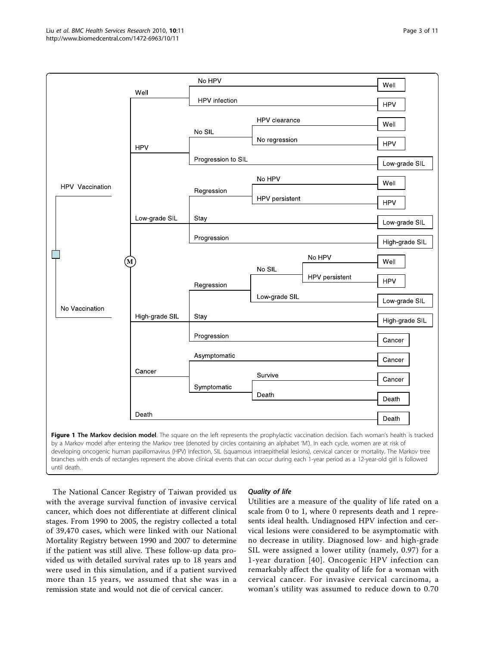<span id="page-2-0"></span>

The National Cancer Registry of Taiwan provided us with the average survival function of invasive cervical cancer, which does not differentiate at different clinical stages. From 1990 to 2005, the registry collected a total of 39,470 cases, which were linked with our National Mortality Registry between 1990 and 2007 to determine if the patient was still alive. These follow-up data provided us with detailed survival rates up to 18 years and were used in this simulation, and if a patient survived more than 15 years, we assumed that she was in a remission state and would not die of cervical cancer.

#### Quality of life

Utilities are a measure of the quality of life rated on a scale from 0 to 1, where 0 represents death and 1 represents ideal health. Undiagnosed HPV infection and cervical lesions were considered to be asymptomatic with no decrease in utility. Diagnosed low- and high-grade SIL were assigned a lower utility (namely, 0.97) for a 1-year duration [[40](#page-9-0)]. Oncogenic HPV infection can remarkably affect the quality of life for a woman with cervical cancer. For invasive cervical carcinoma, a woman's utility was assumed to reduce down to 0.70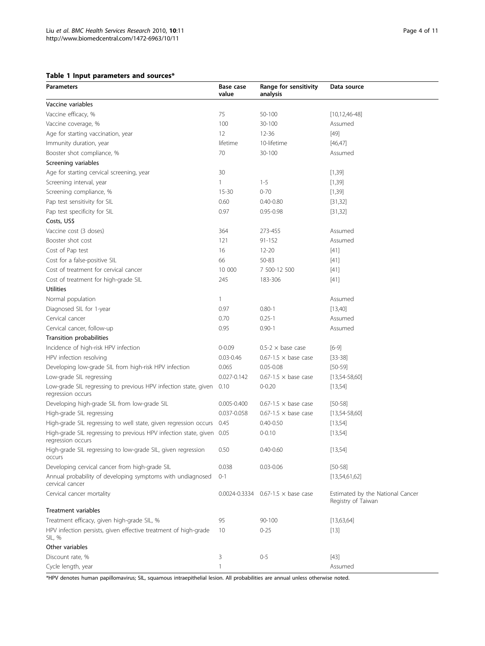## <span id="page-3-0"></span>Table 1 Input parameters and sources\*

| Parameters                                                                                 | Base case<br>value | Range for sensitivity<br>analysis         | Data source                                            |
|--------------------------------------------------------------------------------------------|--------------------|-------------------------------------------|--------------------------------------------------------|
| Vaccine variables                                                                          |                    |                                           |                                                        |
| Vaccine efficacy, %                                                                        | 75                 | 50-100                                    | $[10, 12, 46 - 48]$                                    |
| Vaccine coverage, %                                                                        | 100                | 30-100                                    | Assumed                                                |
| Age for starting vaccination, year                                                         | 12                 | $12 - 36$                                 | $[49]$                                                 |
| Immunity duration, year                                                                    | lifetime           | 10-lifetime                               | [46, 47]                                               |
| Booster shot compliance, %                                                                 | 70                 | 30-100                                    | Assumed                                                |
| Screening variables                                                                        |                    |                                           |                                                        |
| Age for starting cervical screening, year                                                  | 30                 |                                           | [1, 39]                                                |
| Screening interval, year                                                                   | $\mathbf{1}$       | $1 - 5$                                   | [1, 39]                                                |
| Screening compliance, %                                                                    | $15 - 30$          | $0 - 70$                                  | [1, 39]                                                |
| Pap test sensitivity for SIL                                                               | 0.60               | $0.40 - 0.80$                             | [31, 32]                                               |
| Pap test specificity for SIL                                                               | 0.97               | 0.95-0.98                                 | [31,32]                                                |
| Costs, US\$                                                                                |                    |                                           |                                                        |
| Vaccine cost (3 doses)                                                                     | 364                | 273-455                                   | Assumed                                                |
| Booster shot cost                                                                          | 121                | 91-152                                    | Assumed                                                |
| Cost of Pap test                                                                           | 16                 | $12 - 20$                                 | $[41]$                                                 |
| Cost for a false-positive SIL                                                              | 66                 | 50-83                                     | $[41]$                                                 |
| Cost of treatment for cervical cancer                                                      | 10 000             | 7 500-12 500                              | $[41]$                                                 |
| Cost of treatment for high-grade SIL                                                       | 245                | 183-306                                   | $[41]$                                                 |
| <b>Utilities</b>                                                                           |                    |                                           |                                                        |
| Normal population                                                                          | $\mathbf{1}$       |                                           | Assumed                                                |
| Diagnosed SIL for 1-year                                                                   | 0.97               | $0.80 - 1$                                | [13,40]                                                |
| Cervical cancer                                                                            | 0.70               | $0.25 - 1$                                | Assumed                                                |
| Cervical cancer, follow-up                                                                 | 0.95               | $0.90 - 1$                                | Assumed                                                |
| Transition probabilities                                                                   |                    |                                           |                                                        |
| Incidence of high-risk HPV infection                                                       | $0 - 0.09$         | $0.5 - 2 \times \text{base}$ case         | $[6-9]$                                                |
| HPV infection resolving                                                                    | $0.03 - 0.46$      | $0.67 - 1.5 \times$ base case             | $[33 - 38]$                                            |
| Developing low-grade SIL from high-risk HPV infection                                      | 0.065              | $0.05 - 0.08$                             | $[50-59]$                                              |
| Low-grade SIL regressing                                                                   | $0.027 - 0.142$    | $0.67 - 1.5 \times$ base case             | $[13,54-58,60]$                                        |
| Low-grade SIL regressing to previous HPV infection state, given<br>regression occurs       | 0.10               | $0 - 0.20$                                | [13,54]                                                |
| Developing high-grade SIL from low-grade SIL                                               | $0.005 - 0.400$    | $0.67 - 1.5 \times \text{base case}$      | $[50-58]$                                              |
| High-grade SIL regressing                                                                  | 0.037-0.058        | $0.67 - 1.5 \times \text{base case}$      | $[13,54-58,60]$                                        |
| High-grade SIL regressing to well state, given regression occurs                           | 0.45               | $0.40 - 0.50$                             | [13,54]                                                |
| High-grade SIL regressing to previous HPV infection state, given 0.05<br>regression occurs |                    | $0 - 0.10$                                | [13,54]                                                |
| High-grade SIL regressing to low-grade SIL, given regression<br>occurs                     | 0.50               | $0.40 - 0.60$                             | [13,54]                                                |
| Developing cervical cancer from high-grade SIL                                             | 0.038              | $0.03 - 0.06$                             | $[50-58]$                                              |
| Annual probability of developing symptoms with undiagnosed<br>cervical cancer              | $0 - 1$            |                                           | [13,54,61,62]                                          |
| Cervical cancer mortality                                                                  |                    | 0.0024-0.3334 0.67-1.5 $\times$ base case | Estimated by the National Cancer<br>Registry of Taiwan |
| <b>Treatment variables</b>                                                                 |                    |                                           |                                                        |
| Treatment efficacy, given high-grade SIL, %                                                | 95                 | 90-100                                    | [13,63,64]                                             |
| HPV infection persists, given effective treatment of high-grade<br>SIL, %                  | 10                 | $0 - 25$                                  | $[13]$                                                 |
| Other variables                                                                            |                    |                                           |                                                        |
| Discount rate, %                                                                           | 3                  | $0 - 5$                                   | $[43]$                                                 |
| Cycle length, year                                                                         | $\mathbf{1}$       |                                           | Assumed                                                |

\*HPV denotes human papillomavirus; SIL, squamous intraepithelial lesion. All probabilities are annual unless otherwise noted.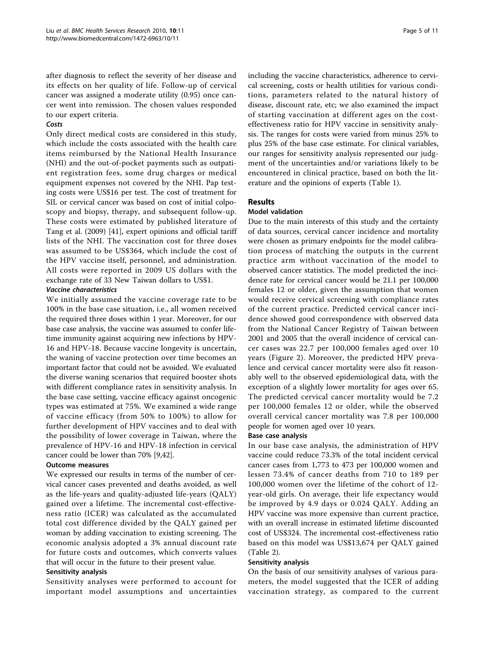after diagnosis to reflect the severity of her disease and its effects on her quality of life. Follow-up of cervical cancer was assigned a moderate utility (0.95) once cancer went into remission. The chosen values responded to our expert criteria.

#### Costs

Only direct medical costs are considered in this study, which include the costs associated with the health care items reimbursed by the National Health Insurance (NHI) and the out-of-pocket payments such as outpatient registration fees, some drug charges or medical equipment expenses not covered by the NHI. Pap testing costs were US\$16 per test. The cost of treatment for SIL or cervical cancer was based on cost of initial colposcopy and biopsy, therapy, and subsequent follow-up. These costs were estimated by published literature of Tang et al. (2009) [[41](#page-9-0)], expert opinions and official tariff lists of the NHI. The vaccination cost for three doses was assumed to be US\$364, which include the cost of the HPV vaccine itself, personnel, and administration. All costs were reported in 2009 US dollars with the exchange rate of 33 New Taiwan dollars to US\$1.

#### Vaccine characteristics

We initially assumed the vaccine coverage rate to be 100% in the base case situation, i.e., all women received the required three doses within 1 year. Moreover, for our base case analysis, the vaccine was assumed to confer lifetime immunity against acquiring new infections by HPV-16 and HPV-18. Because vaccine longevity is uncertain, the waning of vaccine protection over time becomes an important factor that could not be avoided. We evaluated the diverse waning scenarios that required booster shots with different compliance rates in sensitivity analysis. In the base case setting, vaccine efficacy against oncogenic types was estimated at 75%. We examined a wide range of vaccine efficacy (from 50% to 100%) to allow for further development of HPV vaccines and to deal with the possibility of lower coverage in Taiwan, where the prevalence of HPV-16 and HPV-18 infection in cervical cancer could be lower than 70% [[9,](#page-8-0)[42\]](#page-9-0).

### Outcome measures

We expressed our results in terms of the number of cervical cancer cases prevented and deaths avoided, as well as the life-years and quality-adjusted life-years (QALY) gained over a lifetime. The incremental cost-effectiveness ratio (ICER) was calculated as the accumulated total cost difference divided by the QALY gained per woman by adding vaccination to existing screening. The economic analysis adopted a 3% annual discount rate for future costs and outcomes, which converts values that will occur in the future to their present value.

### Sensitivity analysis

Sensitivity analyses were performed to account for important model assumptions and uncertainties including the vaccine characteristics, adherence to cervical screening, costs or health utilities for various conditions, parameters related to the natural history of disease, discount rate, etc; we also examined the impact of starting vaccination at different ages on the costeffectiveness ratio for HPV vaccine in sensitivity analysis. The ranges for costs were varied from minus 25% to plus 25% of the base case estimate. For clinical variables, our ranges for sensitivity analysis represented our judgment of the uncertainties and/or variations likely to be encountered in clinical practice, based on both the literature and the opinions of experts (Table [1](#page-3-0)).

## Results

#### Model validation

Due to the main interests of this study and the certainty of data sources, cervical cancer incidence and mortality were chosen as primary endpoints for the model calibration process of matching the outputs in the current practice arm without vaccination of the model to observed cancer statistics. The model predicted the incidence rate for cervical cancer would be 21.1 per 100,000 females 12 or older, given the assumption that women would receive cervical screening with compliance rates of the current practice. Predicted cervical cancer incidence showed good correspondence with observed data from the National Cancer Registry of Taiwan between 2001 and 2005 that the overall incidence of cervical cancer cases was 22.7 per 100,000 females aged over 10 years (Figure [2](#page-5-0)). Moreover, the predicted HPV prevalence and cervical cancer mortality were also fit reasonably well to the observed epidemiological data, with the exception of a slightly lower mortality for ages over 65. The predicted cervical cancer mortality would be 7.2 per 100,000 females 12 or older, while the observed overall cervical cancer mortality was 7.8 per 100,000 people for women aged over 10 years.

## Base case analysis

In our base case analysis, the administration of HPV vaccine could reduce 73.3% of the total incident cervical cancer cases from 1,773 to 473 per 100,000 women and lessen 73.4% of cancer deaths from 710 to 189 per 100,000 women over the lifetime of the cohort of 12 year-old girls. On average, their life expectancy would be improved by 4.9 days or 0.024 QALY. Adding an HPV vaccine was more expensive than current practice, with an overall increase in estimated lifetime discounted cost of US\$324. The incremental cost-effectiveness ratio based on this model was US\$13,674 per QALY gained (Table [2\)](#page-5-0).

### Sensitivity analysis

On the basis of our sensitivity analyses of various parameters, the model suggested that the ICER of adding vaccination strategy, as compared to the current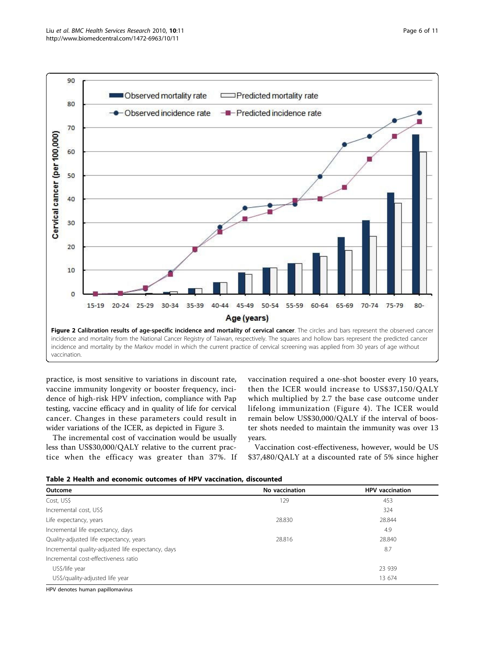<span id="page-5-0"></span>

practice, is most sensitive to variations in discount rate, vaccine immunity longevity or booster frequency, incidence of high-risk HPV infection, compliance with Pap testing, vaccine efficacy and in quality of life for cervical cancer. Changes in these parameters could result in wider variations of the ICER, as depicted in Figure [3](#page-6-0).

The incremental cost of vaccination would be usually less than US\$30,000/QALY relative to the current practice when the efficacy was greater than 37%. If vaccination required a one-shot booster every 10 years, then the ICER would increase to US\$37,150/QALY which multiplied by 2.7 the base case outcome under lifelong immunization (Figure [4\)](#page-7-0). The ICER would remain below US\$30,000/QALY if the interval of booster shots needed to maintain the immunity was over 13 years.

Vaccination cost-effectiveness, however, would be US \$37,480/QALY at a discounted rate of 5% since higher



| Outcome                                            | No vaccination | <b>HPV</b> vaccination |
|----------------------------------------------------|----------------|------------------------|
| Cost, US\$                                         | 129            | 453                    |
| Incremental cost, US\$                             |                | 324                    |
| Life expectancy, years                             | 28.830         | 28.844                 |
| Incremental life expectancy, days                  |                | 4.9                    |
| Quality-adjusted life expectancy, years            | 28.816         | 28.840                 |
| Incremental quality-adjusted life expectancy, days |                | 8.7                    |
| Incremental cost-effectiveness ratio               |                |                        |
| US\$/life year                                     |                | 23 939                 |
| US\$/quality-adjusted life year                    |                | 13 674                 |

HPV denotes human papillomavirus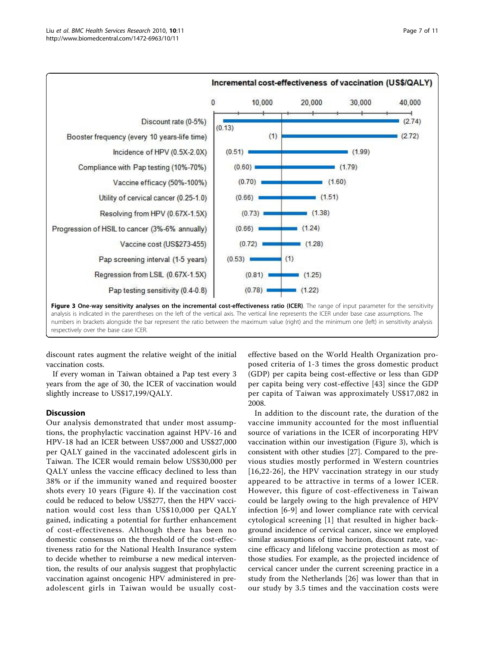<span id="page-6-0"></span>

respectively over the base case ICER.

discount rates augment the relative weight of the initial vaccination costs.

If every woman in Taiwan obtained a Pap test every 3 years from the age of 30, the ICER of vaccination would slightly increase to US\$17,199/QALY.

### **Discussion**

Our analysis demonstrated that under most assumptions, the prophylactic vaccination against HPV-16 and HPV-18 had an ICER between US\$7,000 and US\$27,000 per QALY gained in the vaccinated adolescent girls in Taiwan. The ICER would remain below US\$30,000 per QALY unless the vaccine efficacy declined to less than 38% or if the immunity waned and required booster shots every 10 years (Figure [4\)](#page-7-0). If the vaccination cost could be reduced to below US\$277, then the HPV vaccination would cost less than US\$10,000 per QALY gained, indicating a potential for further enhancement of cost-effectiveness. Although there has been no domestic consensus on the threshold of the cost-effectiveness ratio for the National Health Insurance system to decide whether to reimburse a new medical intervention, the results of our analysis suggest that prophylactic vaccination against oncogenic HPV administered in preadolescent girls in Taiwan would be usually cost-

effective based on the World Health Organization proposed criteria of 1-3 times the gross domestic product (GDP) per capita being cost-effective or less than GDP per capita being very cost-effective [[43](#page-9-0)] since the GDP per capita of Taiwan was approximately US\$17,082 in 2008.

In addition to the discount rate, the duration of the vaccine immunity accounted for the most influential source of variations in the ICER of incorporating HPV vaccination within our investigation (Figure 3), which is consistent with other studies [[27](#page-9-0)]. Compared to the previous studies mostly performed in Western countries [[16](#page-9-0),[22](#page-9-0)-[26](#page-9-0)], the HPV vaccination strategy in our study appeared to be attractive in terms of a lower ICER. However, this figure of cost-effectiveness in Taiwan could be largely owing to the high prevalence of HPV infection [\[6](#page-8-0)-[9](#page-8-0)] and lower compliance rate with cervical cytological screening [[1](#page-8-0)] that resulted in higher background incidence of cervical cancer, since we employed similar assumptions of time horizon, discount rate, vaccine efficacy and lifelong vaccine protection as most of those studies. For example, as the projected incidence of cervical cancer under the current screening practice in a study from the Netherlands [\[26](#page-9-0)] was lower than that in our study by 3.5 times and the vaccination costs were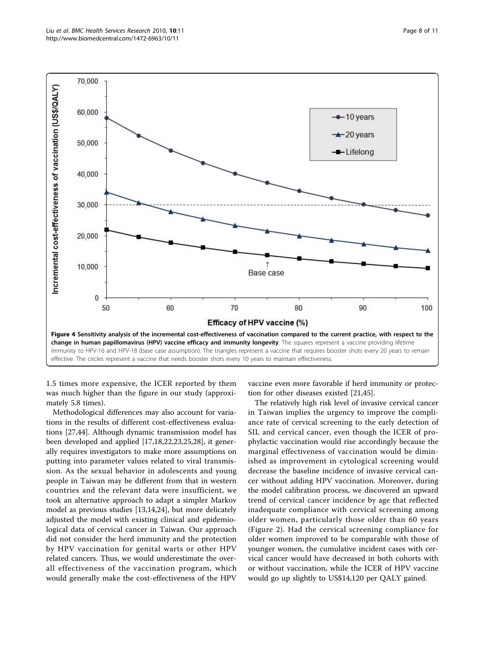<span id="page-7-0"></span>

1.5 times more expensive, the ICER reported by them was much higher than the figure in our study (approximately 5.8 times).

Methodological differences may also account for variations in the results of different cost-effectiveness evaluations [\[27,44\]](#page-9-0). Although dynamic transmission model has been developed and applied [[17,18,22,23,25,28\]](#page-9-0), it generally requires investigators to make more assumptions on putting into parameter values related to viral transmission. As the sexual behavior in adolescents and young people in Taiwan may be different from that in western countries and the relevant data were insufficient, we took an alternative approach to adapt a simpler Markov model as previous studies [\[13,14,24\]](#page-9-0), but more delicately adjusted the model with existing clinical and epidemiological data of cervical cancer in Taiwan. Our approach did not consider the herd immunity and the protection by HPV vaccination for genital warts or other HPV related cancers. Thus, we would underestimate the overall effectiveness of the vaccination program, which would generally make the cost-effectiveness of the HPV vaccine even more favorable if herd immunity or protection for other diseases existed [[21,45](#page-9-0)].

The relatively high risk level of invasive cervical cancer in Taiwan implies the urgency to improve the compliance rate of cervical screening to the early detection of SIL and cervical cancer, even though the ICER of prophylactic vaccination would rise accordingly because the marginal effectiveness of vaccination would be diminished as improvement in cytological screening would decrease the baseline incidence of invasive cervical cancer without adding HPV vaccination. Moreover, during the model calibration process, we discovered an upward trend of cervical cancer incidence by age that reflected inadequate compliance with cervical screening among older women, particularly those older than 60 years (Figure [2](#page-5-0)). Had the cervical screening compliance for older women improved to be comparable with those of younger women, the cumulative incident cases with cervical cancer would have decreased in both cohorts with or without vaccination, while the ICER of HPV vaccine would go up slightly to US\$14,120 per QALY gained.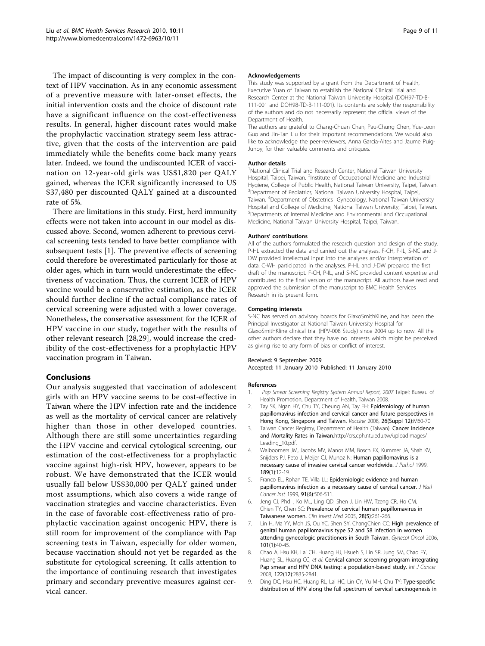<span id="page-8-0"></span>The impact of discounting is very complex in the context of HPV vaccination. As in any economic assessment of a preventive measure with later-onset effects, the initial intervention costs and the choice of discount rate have a significant influence on the cost-effectiveness results. In general, higher discount rates would make the prophylactic vaccination strategy seem less attractive, given that the costs of the intervention are paid immediately while the benefits come back many years later. Indeed, we found the undiscounted ICER of vaccination on 12-year-old girls was US\$1,820 per QALY gained, whereas the ICER significantly increased to US \$37,480 per discounted QALY gained at a discounted rate of 5%.

There are limitations in this study. First, herd immunity effects were not taken into account in our model as discussed above. Second, women adherent to previous cervical screening tests tended to have better compliance with subsequent tests [1]. The preventive effects of screening could therefore be overestimated particularly for those at older ages, which in turn would underestimate the effectiveness of vaccination. Thus, the current ICER of HPV vaccine would be a conservative estimation, as the ICER should further decline if the actual compliance rates of cervical screening were adjusted with a lower coverage. Nonetheless, the conservative assessment for the ICER of HPV vaccine in our study, together with the results of other relevant research [[28,29](#page-9-0)], would increase the credibility of the cost-effectiveness for a prophylactic HPV vaccination program in Taiwan.

### Conclusions

Our analysis suggested that vaccination of adolescent girls with an HPV vaccine seems to be cost-effective in Taiwan where the HPV infection rate and the incidence as well as the mortality of cervical cancer are relatively higher than those in other developed countries. Although there are still some uncertainties regarding the HPV vaccine and cervical cytological screening, our estimation of the cost-effectiveness for a prophylactic vaccine against high-risk HPV, however, appears to be robust. We have demonstrated that the ICER would usually fall below US\$30,000 per QALY gained under most assumptions, which also covers a wide range of vaccination strategies and vaccine characteristics. Even in the case of favorable cost-effectiveness ratio of prophylactic vaccination against oncogenic HPV, there is still room for improvement of the compliance with Pap screening tests in Taiwan, especially for older women, because vaccination should not yet be regarded as the substitute for cytological screening. It calls attention to the importance of continuing research that investigates primary and secondary preventive measures against cervical cancer.

#### Acknowledgements

This study was supported by a grant from the Department of Health, Executive Yuan of Taiwan to establish the National Clinical Trial and Research Center at the National Taiwan University Hospital (DOH97-TD-B-111-001 and DOH98-TD-B-111-001). Its contents are solely the responsibility of the authors and do not necessarily represent the official views of the Department of Health.

The authors are grateful to Chang-Chuan Chan, Pau-Chung Chen, Yue-Leon Guo and Jin-Tan Liu for their important recommendations. We would also like to acknowledge the peer-reviewers, Anna Garcia-Altes and Jaume Puig-Junoy, for their valuable comments and critiques.

#### Author details

<sup>1</sup>National Clinical Trial and Research Center, National Taiwan University Hospital, Taipei, Taiwan. <sup>2</sup>Institute of Occupational Medicine and Industrial Hygiene, College of Public Health, National Taiwan University, Taipei, Taiwan. <sup>3</sup> Department of Pediatrics, National Taiwan University Hospital, Taipei, Taiwan. <sup>4</sup>Department of Obstetrics Gynecology, National Taiwan University Hospital and College of Medicine, National Taiwan University, Taipei, Taiwan. 5 Departments of Internal Medicine and Environmental and Occupational Medicine, National Taiwan University Hospital, Taipei, Taiwan.

#### Authors' contributions

All of the authors formulated the research question and design of the study. P-HL extracted the data and carried out the analyses. F-CH, P-IL, S-NC and J-DW provided intellectual input into the analyses and/or interpretation of data. C-WH participated in the analyses. P-HL and J-DW prepared the first draft of the manuscript. F-CH, P-IL, and S-NC provided content expertise and contributed to the final version of the manuscript. All authors have read and approved the submission of the manuscript to BMC Health Services Research in its present form.

#### Competing interests

S-NC has served on advisory boards for GlaxoSmithKline, and has been the Principal Investigator at National Taiwan University Hospital for GlaxoSmithKline clinical trial (HPV-008 Study) since 2004 up to now. All the other authors declare that they have no interests which might be perceived as giving rise to any form of bias or conflict of interest.

#### Received: 9 September 2009

Accepted: 11 January 2010 Published: 11 January 2010

#### References

- 1. Pap Smear Screening Registry System Annual Report, 2007 Taipei: Bureau of Health Promotion, Department of Health, Taiwan 2008.
- 2. Tay SK, Ngan HY, Chu TY, Cheung AN, Tay EH: [Epidemiology of human](http://www.ncbi.nlm.nih.gov/pubmed/18945415?dopt=Abstract) [papillomavirus infection and cervical cancer and future perspectives in](http://www.ncbi.nlm.nih.gov/pubmed/18945415?dopt=Abstract) [Hong Kong, Singapore and Taiwan.](http://www.ncbi.nlm.nih.gov/pubmed/18945415?dopt=Abstract) Vaccine 2008, 26(Suppl 12):M60-70.
- 3. Taiwan Cancer Registry, Department of Health (Taiwan): Cancer Incidence and Mortality Rates in Taiwan.[http://crs.cph.ntu.edu.tw/uploadimages/](http://crs.cph.ntu.edu.tw/uploadimages/Leading_10.pdf) [Leading\\_10.pdf](http://crs.cph.ntu.edu.tw/uploadimages/Leading_10.pdf)
- 4. Walboomers JM, Jacobs MV, Manos MM, Bosch FX, Kummer JA, Shah KV, Snijders PJ, Peto J, Meijer CJ, Munoz N: [Human papillomavirus is a](http://www.ncbi.nlm.nih.gov/pubmed/10451482?dopt=Abstract) [necessary cause of invasive cervical cancer worldwide.](http://www.ncbi.nlm.nih.gov/pubmed/10451482?dopt=Abstract) J Pathol 1999, 189(1):12-19.
- Franco EL, Rohan TE, Villa LL: [Epidemiologic evidence and human](http://www.ncbi.nlm.nih.gov/pubmed/10088620?dopt=Abstract) [papillomavirus infection as a necessary cause of cervical cancer.](http://www.ncbi.nlm.nih.gov/pubmed/10088620?dopt=Abstract) J Natl Cancer Inst 1999, 91(6):506-511
- 6. Jeng CJ, Phdl , Ko ML, Ling QD, Shen J, Lin HW, Tzeng CR, Ho CM, Chien TY, Chen SC: [Prevalence of cervical human papillomavirus in](http://www.ncbi.nlm.nih.gov/pubmed/16265998?dopt=Abstract) [Taiwanese women.](http://www.ncbi.nlm.nih.gov/pubmed/16265998?dopt=Abstract) Clin Invest Med 2005, 28(5):261-266.
- 7. Lin H, Ma YY, Moh JS, Ou YC, Shen SY, ChangChien CC: [High prevalence of](http://www.ncbi.nlm.nih.gov/pubmed/16256180?dopt=Abstract) [genital human papillomavirus type 52 and 58 infection in women](http://www.ncbi.nlm.nih.gov/pubmed/16256180?dopt=Abstract) [attending gynecologic practitioners in South Taiwan.](http://www.ncbi.nlm.nih.gov/pubmed/16256180?dopt=Abstract) Gynecol Oncol 2006, 101(1):40-45.
- 8. Chao A, Hsu KH, Lai CH, Huang HJ, Hsueh S, Lin SR, Jung SM, Chao FY, Huang SL, Huang CC, et al: [Cervical cancer screening program integrating](http://www.ncbi.nlm.nih.gov/pubmed/18338752?dopt=Abstract) [Pap smear and HPV DNA testing: a population-based study.](http://www.ncbi.nlm.nih.gov/pubmed/18338752?dopt=Abstract) Int J Cancer 2008, 122(12):2835-2841.
- 9. Ding DC, Hsu HC, Huang RL, Lai HC, Lin CY, Yu MH, Chu TY: [Type-specific](http://www.ncbi.nlm.nih.gov/pubmed/18502563?dopt=Abstract) [distribution of HPV along the full spectrum of cervical carcinogenesis in](http://www.ncbi.nlm.nih.gov/pubmed/18502563?dopt=Abstract)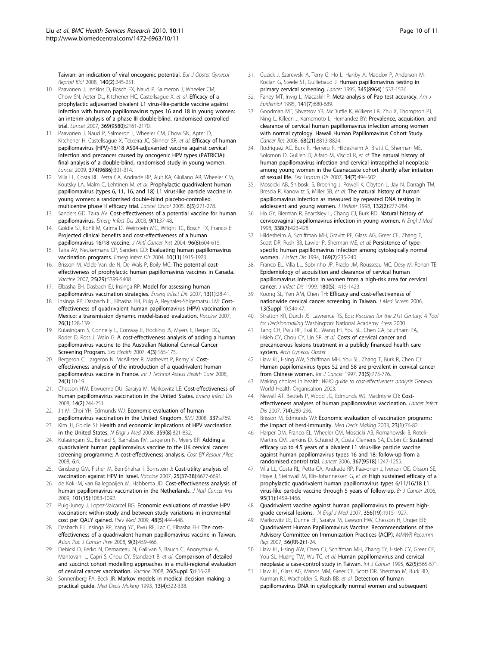<span id="page-9-0"></span>[Taiwan: an indication of viral oncogenic potential.](http://www.ncbi.nlm.nih.gov/pubmed/18502563?dopt=Abstract) Eur J Obstet Gynecol Reprod Biol 2008, 140(2):245-251.

- 10. Paavonen J, Jenkins D, Bosch FX, Naud P, Salmeron J, Wheeler CM, Chow SN, Apter DL, Kitchener HC, Castellsague X, et al: [Efficacy of a](http://www.ncbi.nlm.nih.gov/pubmed/17602732?dopt=Abstract) [prophylactic adjuvanted bivalent L1 virus-like-particle vaccine against](http://www.ncbi.nlm.nih.gov/pubmed/17602732?dopt=Abstract) [infection with human papillomavirus types 16 and 18 in young women:](http://www.ncbi.nlm.nih.gov/pubmed/17602732?dopt=Abstract) [an interim analysis of a phase III double-blind, randomised controlled](http://www.ncbi.nlm.nih.gov/pubmed/17602732?dopt=Abstract) [trial.](http://www.ncbi.nlm.nih.gov/pubmed/17602732?dopt=Abstract) Lancet 2007, 369(9580):2161-2170.
- 11. Paavonen J, Naud P, Salmeron J, Wheeler CM, Chow SN, Apter D, Kitchener H, Castellsague X, Teixeira JC, Skinner SR, et al: [Efficacy of human](http://www.ncbi.nlm.nih.gov/pubmed/19586656?dopt=Abstract) [papillomavirus \(HPV\)-16/18 AS04-adjuvanted vaccine against cervical](http://www.ncbi.nlm.nih.gov/pubmed/19586656?dopt=Abstract) [infection and precancer caused by oncogenic HPV types \(PATRICIA\):](http://www.ncbi.nlm.nih.gov/pubmed/19586656?dopt=Abstract) [final analysis of a double-blind, randomised study in young women.](http://www.ncbi.nlm.nih.gov/pubmed/19586656?dopt=Abstract) Lancet 2009, 374(9686):301-314.
- 12. Villa LL, Costa RL, Petta CA, Andrade RP, Ault KA, Giuliano AR, Wheeler CM, Koutsky LA, Malm C, Lehtinen M, et al: [Prophylactic quadrivalent human](http://www.ncbi.nlm.nih.gov/pubmed/15863374?dopt=Abstract) [papillomavirus \(types 6, 11, 16, and 18\) L1 virus-like particle vaccine in](http://www.ncbi.nlm.nih.gov/pubmed/15863374?dopt=Abstract) [young women: a randomised double-blind placebo-controlled](http://www.ncbi.nlm.nih.gov/pubmed/15863374?dopt=Abstract) [multicentre phase II efficacy trial.](http://www.ncbi.nlm.nih.gov/pubmed/15863374?dopt=Abstract) Lancet Oncol 2005, 6(5):271-278.
- 13. Sanders GD, Taira AV: [Cost-effectiveness of a potential vaccine for human](http://www.ncbi.nlm.nih.gov/pubmed/12533280?dopt=Abstract) [papillomavirus.](http://www.ncbi.nlm.nih.gov/pubmed/12533280?dopt=Abstract) Emerg Infect Dis 2003, 9(1):37-48.
- 14. Goldie SJ, Kohli M, Grima D, Weinstein MC, Wright TC, Bosch FX, Franco E: [Projected clinical benefits and cost-effectiveness of a human](http://www.ncbi.nlm.nih.gov/pubmed/15100338?dopt=Abstract) [papillomavirus 16/18 vaccine.](http://www.ncbi.nlm.nih.gov/pubmed/15100338?dopt=Abstract) J Natl Cancer Inst 2004, 96(8):604-615.
- 15. Taira AV, Neukermans CP, Sanders GD: [Evaluating human papillomavirus](http://www.ncbi.nlm.nih.gov/pubmed/15550200?dopt=Abstract) [vaccination programs.](http://www.ncbi.nlm.nih.gov/pubmed/15550200?dopt=Abstract) Emerg Infect Dis 2004, 10(11):1915-1923.
- 16. Brisson M, Velde Van de N, De Wals P, Boily MC: [The potential cost](http://www.ncbi.nlm.nih.gov/pubmed/17561316?dopt=Abstract)[effectiveness of prophylactic human papillomavirus vaccines in Canada.](http://www.ncbi.nlm.nih.gov/pubmed/17561316?dopt=Abstract) Vaccine 2007, 25(29):5399-5408.
- 17. Elbasha EH, Dasbach EJ, Insinga RP: [Model for assessing human](http://www.ncbi.nlm.nih.gov/pubmed/17370513?dopt=Abstract) [papillomavirus vaccination strategies.](http://www.ncbi.nlm.nih.gov/pubmed/17370513?dopt=Abstract) Emerg Infect Dis 2007, 13(1):28-41.
- 18. Insinga RP, Dasbach EJ, Elbasha EH, Puig A, Reynales-Shigematsu LM: [Cost](http://www.ncbi.nlm.nih.gov/pubmed/18055075?dopt=Abstract)[effectiveness of quadrivalent human papillomavirus \(HPV\) vaccination in](http://www.ncbi.nlm.nih.gov/pubmed/18055075?dopt=Abstract) [Mexico: a transmission dynamic model-based evaluation.](http://www.ncbi.nlm.nih.gov/pubmed/18055075?dopt=Abstract) Vaccine 2007, 26(1):128-139.
- 19. Kulasingam S, Connelly L, Conway E, Hocking JS, Myers E, Regan DG, Roder D, Ross J, Wain G: [A cost-effectiveness analysis of adding a human](http://www.ncbi.nlm.nih.gov/pubmed/17931529?dopt=Abstract) [papillomavirus vaccine to the Australian National Cervical Cancer](http://www.ncbi.nlm.nih.gov/pubmed/17931529?dopt=Abstract) [Screening Program.](http://www.ncbi.nlm.nih.gov/pubmed/17931529?dopt=Abstract) Sex Health 2007, 4(3):165-175.
- 20. Bergeron C, Largeron N, McAllister R, Mathevet P, Remy V: [Cost](http://www.ncbi.nlm.nih.gov/pubmed/18218164?dopt=Abstract)[effectiveness analysis of the introduction of a quadrivalent human](http://www.ncbi.nlm.nih.gov/pubmed/18218164?dopt=Abstract) [papillomavirus vaccine in France.](http://www.ncbi.nlm.nih.gov/pubmed/18218164?dopt=Abstract) Int J Technol Assess Health Care 2008, 24(1):10-19.
- 21. Chesson HW, Ekwueme DU, Saraiya M, Markowitz LE: [Cost-effectiveness of](http://www.ncbi.nlm.nih.gov/pubmed/18258117?dopt=Abstract) [human papillomavirus vaccination in the United States.](http://www.ncbi.nlm.nih.gov/pubmed/18258117?dopt=Abstract) Emerg Infect Dis 2008, 14(2):244-251.
- 22. Jit M, Choi YH, Edmunds WJ: [Economic evaluation of human](http://www.ncbi.nlm.nih.gov/pubmed/18640957?dopt=Abstract) [papillomavirus vaccination in the United Kingdom.](http://www.ncbi.nlm.nih.gov/pubmed/18640957?dopt=Abstract) BMJ 2008, 337:a769.
- 23. Kim JJ, Goldie SJ: [Health and economic implications of HPV vaccination](http://www.ncbi.nlm.nih.gov/pubmed/18716299?dopt=Abstract) [in the United States.](http://www.ncbi.nlm.nih.gov/pubmed/18716299?dopt=Abstract) N Engl J Med 2008, 359(8):821-832.
- 24. Kulasingam SL, Benard S, Barnabas RV, Largeron N, Myers ER: [Adding a](http://www.ncbi.nlm.nih.gov/pubmed/18279515?dopt=Abstract) [quadrivalent human papillomavirus vaccine to the UK cervical cancer](http://www.ncbi.nlm.nih.gov/pubmed/18279515?dopt=Abstract) [screening programme: A cost-effectiveness analysis.](http://www.ncbi.nlm.nih.gov/pubmed/18279515?dopt=Abstract) Cost Eff Resour Alloc 2008, 6:4.
- 25. Ginsberg GM, Fisher M, Ben-Shahar I, Bornstein J: [Cost-utility analysis of](http://www.ncbi.nlm.nih.gov/pubmed/17706844?dopt=Abstract) [vaccination against HPV in Israel.](http://www.ncbi.nlm.nih.gov/pubmed/17706844?dopt=Abstract) Vaccine 2007, 25(37-38):6677-6691.
- 26. de Kok IM, van Ballegooijen M, Habbema JD: [Cost-effectiveness analysis of](http://www.ncbi.nlm.nih.gov/pubmed/19571256?dopt=Abstract) [human papillomavirus vaccination in the Netherlands.](http://www.ncbi.nlm.nih.gov/pubmed/19571256?dopt=Abstract) J Natl Cancer Inst 2009, 101(15):1083-1092.
- 27. Puig-Junoy J, Lopez-Valcarcel BG: [Economic evaluations of massive HPV](http://www.ncbi.nlm.nih.gov/pubmed/19232368?dopt=Abstract) [vaccination: within-study and between study variations in incremental](http://www.ncbi.nlm.nih.gov/pubmed/19232368?dopt=Abstract) [cost per QALY gained.](http://www.ncbi.nlm.nih.gov/pubmed/19232368?dopt=Abstract) Prev Med 2009, 48(5):444-448.
- 28. Dasbach EJ, Insinga RP, Yang YC, Pwu RF, Lac C, Elbasha EH: [The cost](http://www.ncbi.nlm.nih.gov/pubmed/18990021?dopt=Abstract)[effectiveness of a quadrivalent human papillomavirus vaccine in Taiwan.](http://www.ncbi.nlm.nih.gov/pubmed/18990021?dopt=Abstract) Asian Pac J Cancer Prev 2008, 9(3):459-466.
- 29. Debicki D, Ferko N, Demarteau N, Gallivan S, Bauch C, Anonychuk A, Mantovani L, Capri S, Chou CY, Standaert B, et al: [Comparison of detailed](http://www.ncbi.nlm.nih.gov/pubmed/18992379?dopt=Abstract) [and succinct cohort modelling approaches in a multi-regional evaluation](http://www.ncbi.nlm.nih.gov/pubmed/18992379?dopt=Abstract) [of cervical cancer vaccination.](http://www.ncbi.nlm.nih.gov/pubmed/18992379?dopt=Abstract) Vaccine 2008, 26(Suppl 5):F16-28.
- 30. Sonnenberg FA, Beck JR: [Markov models in medical decision making: a](http://www.ncbi.nlm.nih.gov/pubmed/8246705?dopt=Abstract) [practical guide.](http://www.ncbi.nlm.nih.gov/pubmed/8246705?dopt=Abstract) Med Decis Making 1993, 13(4):322-338.
- 31. Cuzick J, Szarewski A, Terry G, Ho L, Hanby A, Maddox P, Anderson M, Kocjan G, Steele ST, Guillebaud J: [Human papillomavirus testing in](http://www.ncbi.nlm.nih.gov/pubmed/7791438?dopt=Abstract) [primary cervical screening.](http://www.ncbi.nlm.nih.gov/pubmed/7791438?dopt=Abstract) Lancet 1995, 345(8964):1533-1536.
- 32. Fahey MT, Irwig L, Macaskill P: [Meta-analysis of Pap test accuracy.](http://www.ncbi.nlm.nih.gov/pubmed/7702044?dopt=Abstract) Am J Epidemiol 1995, 141(7):680-689.
- 33. Goodman MT, Shvetsov YB, McDuffie K, Wilkens LR, Zhu X, Thompson PJ, Ning L, Killeen J, Kamemoto L, Hernandez BY: [Prevalence, acquisition, and](http://www.ncbi.nlm.nih.gov/pubmed/18974124?dopt=Abstract) [clearance of cervical human papillomavirus infection among women](http://www.ncbi.nlm.nih.gov/pubmed/18974124?dopt=Abstract) [with normal cytology: Hawaii Human Papillomavirus Cohort Study.](http://www.ncbi.nlm.nih.gov/pubmed/18974124?dopt=Abstract) Cancer Res 2008, 68(21):8813-8824.
- 34. Rodriguez AC, Burk R, Herrero R, Hildesheim A, Bratti C, Sherman ME, Solomon D, Guillen D, Alfaro M, Viscidi R, et al: [The natural history of](http://www.ncbi.nlm.nih.gov/pubmed/17237737?dopt=Abstract) [human papillomavirus infection and cervical intraepithelial neoplasia](http://www.ncbi.nlm.nih.gov/pubmed/17237737?dopt=Abstract) [among young women in the Guanacaste cohort shortly after initiation](http://www.ncbi.nlm.nih.gov/pubmed/17237737?dopt=Abstract) [of sexual life.](http://www.ncbi.nlm.nih.gov/pubmed/17237737?dopt=Abstract) Sex Transm Dis 2007, 34(7):494-502.
- 35. Moscicki AB, Shiboski S, Broering J, Powell K, Clayton L, Jay N, Darragh TM, Brescia R, Kanowitz S, Miller SB, et al: [The natural history of human](http://www.ncbi.nlm.nih.gov/pubmed/9506641?dopt=Abstract) [papillomavirus infection as measured by repeated DNA testing in](http://www.ncbi.nlm.nih.gov/pubmed/9506641?dopt=Abstract) [adolescent and young women.](http://www.ncbi.nlm.nih.gov/pubmed/9506641?dopt=Abstract) J Pediatr 1998, 132(2):277-284.
- 36. Ho GY, Bierman R, Beardsley L, Chang CJ, Burk RD: [Natural history of](http://www.ncbi.nlm.nih.gov/pubmed/9459645?dopt=Abstract) [cervicovaginal papillomavirus infection in young women.](http://www.ncbi.nlm.nih.gov/pubmed/9459645?dopt=Abstract) N Engl J Med 1998, 338(7):423-428.
- 37. Hildesheim A, Schiffman MH, Gravitt PE, Glass AG, Greer CE, Zhang T, Scott DR, Rush BB, Lawler P, Sherman ME, et al: [Persistence of type](http://www.ncbi.nlm.nih.gov/pubmed/8106758?dopt=Abstract)[specific human papillomavirus infection among cytologically normal](http://www.ncbi.nlm.nih.gov/pubmed/8106758?dopt=Abstract) [women.](http://www.ncbi.nlm.nih.gov/pubmed/8106758?dopt=Abstract) J Infect Dis 1994, 169(2):235-240.
- 38. Franco EL, Villa LL, Sobrinho JP, Prado JM, Rousseau MC, Desy M, Rohan TE: [Epidemiology of acquisition and clearance of cervical human](http://www.ncbi.nlm.nih.gov/pubmed/10515798?dopt=Abstract) [papillomavirus infection in women from a high-risk area for cervical](http://www.ncbi.nlm.nih.gov/pubmed/10515798?dopt=Abstract) [cancer.](http://www.ncbi.nlm.nih.gov/pubmed/10515798?dopt=Abstract) J Infect Dis 1999, 180(5):1415-1423.
- 39. Koong SL, Yen AM, Chen TH: [Efficacy and cost-effectiveness of](http://www.ncbi.nlm.nih.gov/pubmed/17227642?dopt=Abstract) [nationwide cervical cancer screening in Taiwan.](http://www.ncbi.nlm.nih.gov/pubmed/17227642?dopt=Abstract) J Med Screen 2006, 13(Suppl 1):S44-47.
- 40. Stratton KR, Durch JS, Lawrence RS, Eds: Vaccines for the 21st Century: A Tool for Decisionmaking Washington: National Academy Press 2000.
- 41. Tang CH, Pwu RF, Tsai IC, Wang HI, You SL, Chen CA, Scuffham PA, Hsieh CY, Chou CY, Lin SR, et al: [Costs of cervical cancer and](http://www.ncbi.nlm.nih.gov/pubmed/19730873?dopt=Abstract) [precancerous lesions treatment in a publicly financed health care](http://www.ncbi.nlm.nih.gov/pubmed/19730873?dopt=Abstract) [system.](http://www.ncbi.nlm.nih.gov/pubmed/19730873?dopt=Abstract) Arch Gynecol Obstet
- 42. Liaw KL, Hsing AW, Schiffman MH, You SL, Zhang T, Burk R, Chen CJ: [Human papillomavirus types 52 and 58 are prevalent in cervical cancer](http://www.ncbi.nlm.nih.gov/pubmed/9398061?dopt=Abstract) [from Chinese women.](http://www.ncbi.nlm.nih.gov/pubmed/9398061?dopt=Abstract) Int J Cancer 1997, 73(5):775-776.
- 43. Making choices in health: WHO guide to cost-effectiveness analysis Geneva: World Health Organisation 2003.
- 44. Newall AT, Beutels P, Wood JG, Edmunds WJ, MacIntyre CR: [Cost](http://www.ncbi.nlm.nih.gov/pubmed/17376386?dopt=Abstract)[effectiveness analyses of human papillomavirus vaccination.](http://www.ncbi.nlm.nih.gov/pubmed/17376386?dopt=Abstract) Lancet Infect Dis 2007, 7(4):289-296.
- 45. Brisson M, Edmunds WJ: [Economic evaluation of vaccination programs:](http://www.ncbi.nlm.nih.gov/pubmed/12583457?dopt=Abstract) [the impact of herd-immunity.](http://www.ncbi.nlm.nih.gov/pubmed/12583457?dopt=Abstract) Med Decis Making 2003, 23(1):76-82.
- 46. Harper DM, Franco EL, Wheeler CM, Moscicki AB, Romanowski B, Roteli-Martins CM, Jenkins D, Schuind A, Costa Clemens SA, Dubin G: [Sustained](http://www.ncbi.nlm.nih.gov/pubmed/16631880?dopt=Abstract) [efficacy up to 4.5 years of a bivalent L1 virus-like particle vaccine](http://www.ncbi.nlm.nih.gov/pubmed/16631880?dopt=Abstract) [against human papillomavirus types 16 and 18: follow-up from a](http://www.ncbi.nlm.nih.gov/pubmed/16631880?dopt=Abstract) [randomised control trial.](http://www.ncbi.nlm.nih.gov/pubmed/16631880?dopt=Abstract) Lancet 2006, 367(9518):1247-1255.
- 47. Villa LL, Costa RL, Petta CA, Andrade RP, Paavonen J, Iversen OE, Olsson SE, Hoye J, Steinwall M, Riis-Johannessen G, et al: [High sustained efficacy of a](http://www.ncbi.nlm.nih.gov/pubmed/17117182?dopt=Abstract) [prophylactic quadrivalent human papillomavirus types 6/11/16/18 L1](http://www.ncbi.nlm.nih.gov/pubmed/17117182?dopt=Abstract) [virus-like particle vaccine through 5 years of follow-up.](http://www.ncbi.nlm.nih.gov/pubmed/17117182?dopt=Abstract) Br J Cancer 2006, 95(11):1459-1466.
- 48. Quadrivalent vaccine against human papillomavirus to prevent highgrade cervical lesions. N Engl J Med 2007, 356(19):1915-1927.
- 49. Markowitz LE, Dunne EF, Saraiya M, Lawson HW, Chesson H, Unger ER: [Quadrivalent Human Papillomavirus Vaccine: Recommendations of the](http://www.ncbi.nlm.nih.gov/pubmed/17380109?dopt=Abstract) [Advisory Committee on Immunization Practices \(ACIP\).](http://www.ncbi.nlm.nih.gov/pubmed/17380109?dopt=Abstract) MMWR Recomm Rep 2007, 56(RR-2):1-24.
- 50. Liaw KL, Hsing AW, Chen CJ, Schiffman MH, Zhang TY, Hsieh CY, Greer CE, You SL, Huang TW, Wu TC, et al: [Human papillomavirus and cervical](http://www.ncbi.nlm.nih.gov/pubmed/7665227?dopt=Abstract) [neoplasia: a case-control study in Taiwan.](http://www.ncbi.nlm.nih.gov/pubmed/7665227?dopt=Abstract) Int J Cancer 1995, 62(5):565-571.
- 51. Liaw KL, Glass AG, Manos MM, Greer CE, Scott DR, Sherman M, Burk RD, Kurman RJ, Wacholder S, Rush BB, et al: [Detection of human](http://www.ncbi.nlm.nih.gov/pubmed/10359548?dopt=Abstract) [papillomavirus DNA in cytologically normal women and subsequent](http://www.ncbi.nlm.nih.gov/pubmed/10359548?dopt=Abstract)